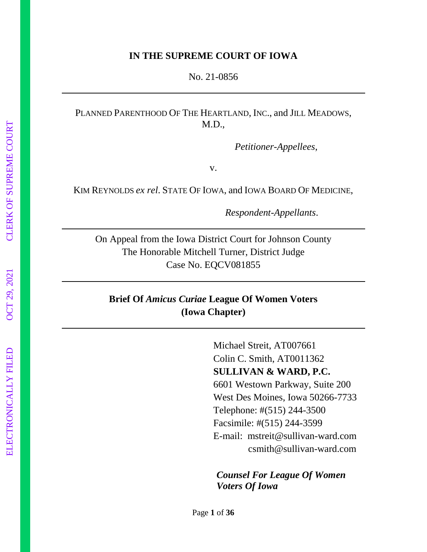#### **IN THE SUPREME COURT OF IOWA**

No. 21-0856

### PLANNED PARENTHOOD OF THE HEARTLAND, INC., and JILL MEADOWS, M.D.,

*Petitioner-Appellees*,

v.

KIM REYNOLDS *ex rel*. STATE OF IOWA, and IOWA BOARD OF MEDICINE,

*Respondent-Appellants*.

On Appeal from the Iowa District Court for Johnson County The Honorable Mitchell Turner, District Judge Case No. EQCV081855

## **Brief Of** *Amicus Curiae* **League Of Women Voters (Iowa Chapter)**

Michael Streit, AT007661 Colin C. Smith, AT0011362 **SULLIVAN & WARD, P.C.** 6601 Westown Parkway, Suite 200 West Des Moines, Iowa 50266-7733 Telephone: #(515) 244-3500 Facsimile: #(515) 244-3599 E-mail: mstreit@sullivan-ward.com csmith@sullivan-ward.com

*Counsel For League Of Women Voters Of Iowa*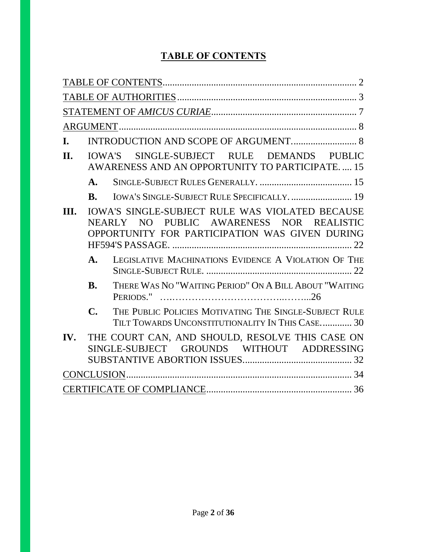# **TABLE OF CONTENTS**

| I.   |                |                                                                                                                                                      |
|------|----------------|------------------------------------------------------------------------------------------------------------------------------------------------------|
| II.  |                | IOWA'S SINGLE-SUBJECT RULE DEMANDS PUBLIC<br>AWARENESS AND AN OPPORTUNITY TO PARTICIPATE 15                                                          |
|      | $\mathbf{A}$ . |                                                                                                                                                      |
|      | <b>B.</b>      | IOWA'S SINGLE-SUBJECT RULE SPECIFICALLY.  19                                                                                                         |
| III. |                | <b>IOWA'S SINGLE-SUBJECT RULE WAS VIOLATED BECAUSE</b><br>NEARLY NO PUBLIC AWARENESS NOR REALISTIC<br>OPPORTUNITY FOR PARTICIPATION WAS GIVEN DURING |
|      | $\mathbf{A}$ . | LEGISLATIVE MACHINATIONS EVIDENCE A VIOLATION OF THE                                                                                                 |
|      | <b>B.</b>      | THERE WAS NO "WAITING PERIOD" ON A BILL ABOUT "WAITING                                                                                               |
|      | $\mathbf{C}$   | THE PUBLIC POLICIES MOTIVATING THE SINGLE-SUBJECT RULE<br>TILT TOWARDS UNCONSTITUTIONALITY IN THIS CASE 30                                           |
| IV.  |                | THE COURT CAN, AND SHOULD, RESOLVE THIS CASE ON<br>GROUNDS WITHOUT ADDRESSING<br>SINGLE-SUBJECT                                                      |
|      |                |                                                                                                                                                      |
|      |                |                                                                                                                                                      |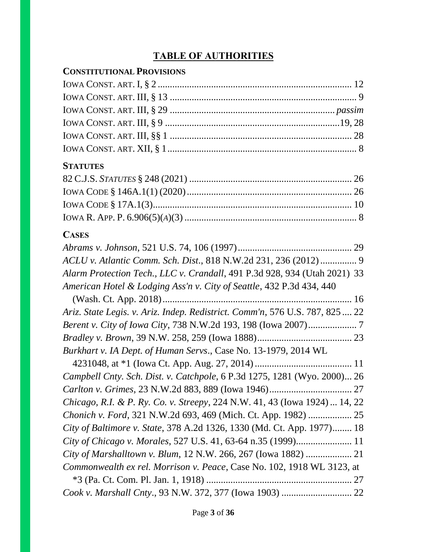# **TABLE OF AUTHORITIES**

# **CONSTITUTIONAL PROVISIONS**

# **STATUTES**

# **CASES**

| ACLU v. Atlantic Comm. Sch. Dist., 818 N.W.2d 231, 236 (2012) 9              |  |
|------------------------------------------------------------------------------|--|
| Alarm Protection Tech., LLC v. Crandall, 491 P.3d 928, 934 (Utah 2021) 33    |  |
| American Hotel & Lodging Ass'n v. City of Seattle, 432 P.3d 434, 440         |  |
|                                                                              |  |
| Ariz. State Legis. v. Ariz. Indep. Redistrict. Comm'n, 576 U.S. 787, 825  22 |  |
|                                                                              |  |
|                                                                              |  |
| Burkhart v. IA Dept. of Human Servs., Case No. 13-1979, 2014 WL              |  |
|                                                                              |  |
| Campbell Cnty. Sch. Dist. v. Catchpole, 6 P.3d 1275, 1281 (Wyo. 2000) 26     |  |
|                                                                              |  |
| Chicago, R.I. & P. Ry. Co. v. Streepy, 224 N.W. 41, 43 (Iowa 1924)  14, 22   |  |
|                                                                              |  |
| City of Baltimore v. State, 378 A.2d 1326, 1330 (Md. Ct. App. 1977) 18       |  |
|                                                                              |  |
| City of Marshalltown v. Blum, 12 N.W. 266, 267 (Iowa 1882)  21               |  |
| Commonwealth ex rel. Morrison v. Peace, Case No. 102, 1918 WL 3123, at       |  |
|                                                                              |  |
|                                                                              |  |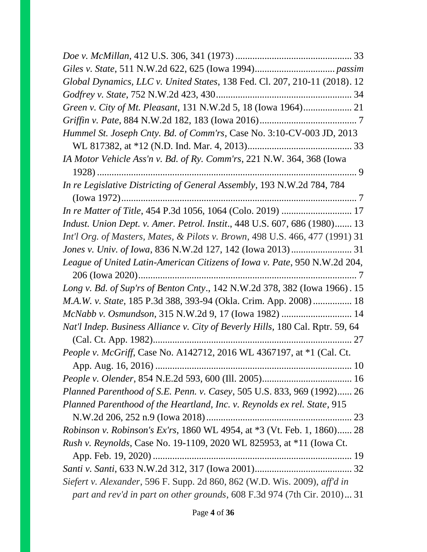| Global Dynamics, LLC v. United States, 138 Fed. Cl. 207, 210-11 (2018). 12     |  |
|--------------------------------------------------------------------------------|--|
|                                                                                |  |
|                                                                                |  |
|                                                                                |  |
| Hummel St. Joseph Cnty. Bd. of Comm'rs, Case No. 3:10-CV-003 JD, 2013          |  |
|                                                                                |  |
| IA Motor Vehicle Ass'n v. Bd. of Ry. Comm'rs, 221 N.W. 364, 368 (Iowa          |  |
|                                                                                |  |
| In re Legislative Districting of General Assembly, 193 N.W.2d 784, 784         |  |
|                                                                                |  |
|                                                                                |  |
| Indust. Union Dept. v. Amer. Petrol. Instit., 448 U.S. 607, 686 (1980) 13      |  |
| Int'l Org. of Masters, Mates, & Pilots v. Brown, 498 U.S. 466, 477 (1991) 31   |  |
|                                                                                |  |
| League of United Latin-American Citizens of Iowa v. Pate, 950 N.W.2d 204,      |  |
| Long v. Bd. of Sup'rs of Benton Cnty., 142 N.W.2d 378, 382 (Iowa 1966). 15     |  |
| M.A.W. v. State, 185 P.3d 388, 393-94 (Okla. Crim. App. 2008) 18               |  |
| McNabb v. Osmundson, 315 N.W.2d 9, 17 (Iowa 1982)  14                          |  |
| Nat'l Indep. Business Alliance v. City of Beverly Hills, 180 Cal. Rptr. 59, 64 |  |
|                                                                                |  |
| People v. McGriff, Case No. A142712, 2016 WL 4367197, at *1 (Cal. Ct.          |  |
|                                                                                |  |
|                                                                                |  |
| Planned Parenthood of S.E. Penn. v. Casey, 505 U.S. 833, 969 (1992) 26         |  |
| Planned Parenthood of the Heartland, Inc. v. Reynolds ex rel. State, 915       |  |
| Robinson v. Robinson's Ex'rs, 1860 WL 4954, at *3 (Vt. Feb. 1, 1860) 28        |  |
| <i>Rush v. Reynolds, Case No.</i> 19-1109, 2020 WL 825953, at *11 (Iowa Ct.    |  |
|                                                                                |  |
|                                                                                |  |
| Siefert v. Alexander, 596 F. Supp. 2d 860, 862 (W.D. Wis. 2009), aff'd in      |  |
| part and rev'd in part on other grounds, 608 F.3d 974 (7th Cir. 2010) 31       |  |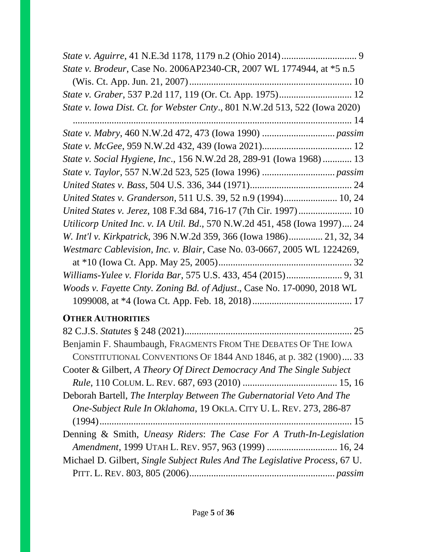| State v. Brodeur, Case No. 2006AP2340-CR, 2007 WL 1774944, at *5 n.5                                                                        |
|---------------------------------------------------------------------------------------------------------------------------------------------|
|                                                                                                                                             |
|                                                                                                                                             |
| State v. Iowa Dist. Ct. for Webster Cnty., 801 N.W.2d 513, 522 (Iowa 2020)                                                                  |
|                                                                                                                                             |
|                                                                                                                                             |
|                                                                                                                                             |
| State v. Social Hygiene, Inc., 156 N.W.2d 28, 289-91 (Iowa 1968)  13                                                                        |
|                                                                                                                                             |
|                                                                                                                                             |
| United States v. Granderson, 511 U.S. 39, 52 n.9 (1994) 10, 24                                                                              |
| United States v. Jerez, 108 F.3d 684, 716-17 (7th Cir. 1997) 10                                                                             |
| Utilicorp United Inc. v. IA Util. Bd., 570 N.W.2d 451, 458 (Iowa 1997) 24                                                                   |
| W. Int'l v. Kirkpatrick, 396 N.W.2d 359, 366 (Iowa 1986) 21, 32, 34                                                                         |
| Westmarc Cablevision, Inc. v. Blair, Case No. 03-0667, 2005 WL 1224269,                                                                     |
|                                                                                                                                             |
| Williams-Yulee v. Florida Bar, 575 U.S. 433, 454 (2015) 9, 31                                                                               |
| Woods v. Fayette Cnty. Zoning Bd. of Adjust., Case No. 17-0090, 2018 WL                                                                     |
|                                                                                                                                             |
| <b>OTHER AUTHORITIES</b>                                                                                                                    |
|                                                                                                                                             |
| Benjamin F. Shaumbaugh, FRAGMENTS FROM THE DEBATES OF THE IOWA                                                                              |
| CONSTITUTIONAL CONVENTIONS OF 1844 AND 1846, at p. 382 (1900) 33                                                                            |
| Cooter & Gilbert, A Theory Of Direct Democracy And The Single Subject                                                                       |
|                                                                                                                                             |
| Deborah Bartell, The Interplay Between The Gubernatorial Veto And The<br>One-Subject Rule In Oklahoma, 19 OKLA. CITY U. L. REV. 273, 286-87 |
|                                                                                                                                             |
| Denning & Smith, Uneasy Riders: The Case For A Truth-In-Legislation                                                                         |
| Amendment, 1999 UTAH L. REV. 957, 963 (1999)  16, 24                                                                                        |
| Michael D. Gilbert, Single Subject Rules And The Legislative Process, 67 U.                                                                 |
|                                                                                                                                             |
|                                                                                                                                             |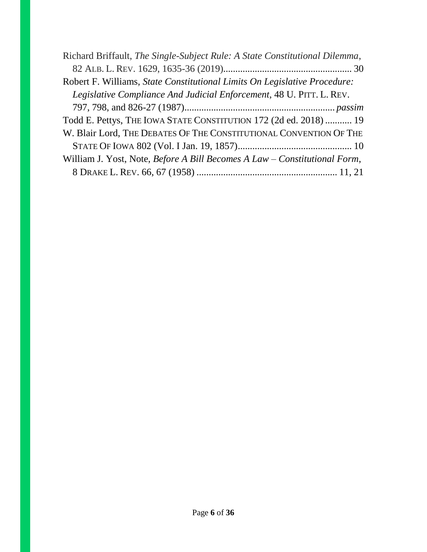| Richard Briffault, The Single-Subject Rule: A State Constitutional Dilemma, |
|-----------------------------------------------------------------------------|
|                                                                             |
| Robert F. Williams, State Constitutional Limits On Legislative Procedure:   |
| Legislative Compliance And Judicial Enforcement, 48 U. PITT. L. REV.        |
|                                                                             |
| Todd E. Pettys, THE IOWA STATE CONSTITUTION 172 (2d ed. 2018)  19           |
| W. Blair Lord, THE DEBATES OF THE CONSTITUTIONAL CONVENTION OF THE          |
|                                                                             |
| William J. Yost, Note, Before A Bill Becomes A Law – Constitutional Form,   |
|                                                                             |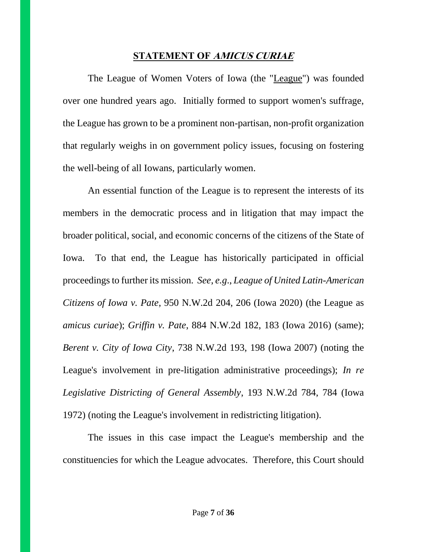### **STATEMENT OF AMICUS CURIAE**

The League of Women Voters of Iowa (the "League") was founded over one hundred years ago. Initially formed to support women's suffrage, the League has grown to be a prominent non-partisan, non-profit organization that regularly weighs in on government policy issues, focusing on fostering the well-being of all Iowans, particularly women.

An essential function of the League is to represent the interests of its members in the democratic process and in litigation that may impact the broader political, social, and economic concerns of the citizens of the State of Iowa. To that end, the League has historically participated in official proceedings to further its mission. *See*, *e.g*., *League of United Latin-American Citizens of Iowa v. Pate*, 950 N.W.2d 204, 206 (Iowa 2020) (the League as *amicus curiae*); *Griffin v. Pate*, 884 N.W.2d 182, 183 (Iowa 2016) (same); *Berent v. City of Iowa City*, 738 N.W.2d 193, 198 (Iowa 2007) (noting the League's involvement in pre-litigation administrative proceedings); *In re Legislative Districting of General Assembly*, 193 N.W.2d 784, 784 (Iowa 1972) (noting the League's involvement in redistricting litigation).

The issues in this case impact the League's membership and the constituencies for which the League advocates. Therefore, this Court should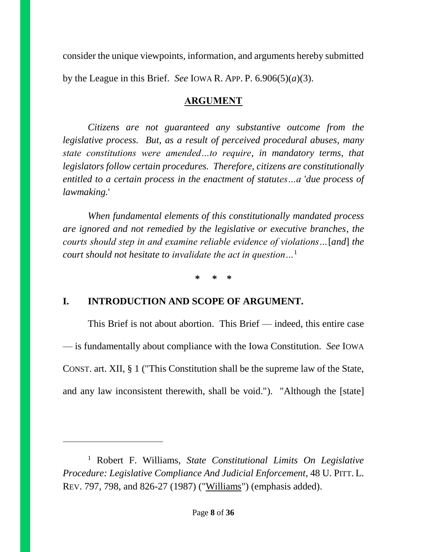consider the unique viewpoints, information, and arguments hereby submitted by the League in this Brief. *See* IOWA R. APP. P.  $6.906(5)(a)(3)$ .

# **ARGUMENT**

*Citizens are not guaranteed any substantive outcome from the legislative process. But*, *as a result of perceived procedural abuses*, *many state constitutions were amended…to require*, *in mandatory terms*, *that legislators follow certain procedures. Therefore*, *citizens are constitutionally entitled to a certain process in the enactment of statutes…a* '*due process of lawmaking.*'

*When fundamental elements of this constitutionally mandated process are ignored and not remedied by the legislative or executive branches*, *the courts should step in and examine reliable evidence of violations…*[*and*] *the court should not hesitate to invalidate the act in question…*<sup>1</sup>

**\* \* \***

# **I. INTRODUCTION AND SCOPE OF ARGUMENT.**

 $\overline{a}$ 

This Brief is not about abortion. This Brief — indeed, this entire case — is fundamentally about compliance with the Iowa Constitution. *See* IOWA CONST. art. XII, § 1 ("This Constitution shall be the supreme law of the State, and any law inconsistent therewith, shall be void."). "Although the [state]

<sup>1</sup> Robert F. Williams, *State Constitutional Limits On Legislative Procedure: Legislative Compliance And Judicial Enforcement*, 48 U. PITT. L. REV. 797, 798, and 826-27 (1987) ("Williams") (emphasis added).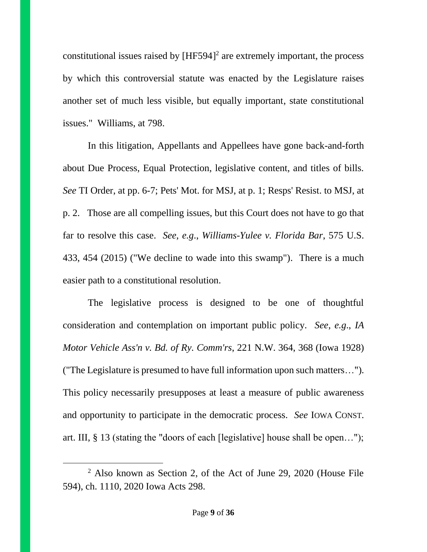constitutional issues raised by  $[HF594]^2$  are extremely important, the process by which this controversial statute was enacted by the Legislature raises another set of much less visible, but equally important, state constitutional issues." Williams, at 798.

In this litigation, Appellants and Appellees have gone back-and-forth about Due Process, Equal Protection, legislative content, and titles of bills. *See* TI Order, at pp. 6-7; Pets' Mot. for MSJ, at p. 1; Resps' Resist. to MSJ, at p. 2. Those are all compelling issues, but this Court does not have to go that far to resolve this case. *See*, *e.g*., *Williams-Yulee v. Florida Bar*, 575 U.S. 433, 454 (2015) ("We decline to wade into this swamp"). There is a much easier path to a constitutional resolution.

The legislative process is designed to be one of thoughtful consideration and contemplation on important public policy. *See*, *e.g*., *IA Motor Vehicle Ass'n v. Bd. of Ry. Comm'rs*, 221 N.W. 364, 368 (Iowa 1928) ("The Legislature is presumed to have full information upon such matters…"). This policy necessarily presupposes at least a measure of public awareness and opportunity to participate in the democratic process. *See* IOWA CONST. art. III, § 13 (stating the "doors of each [legislative] house shall be open…");

<sup>2</sup> Also known as Section 2, of the Act of June 29, 2020 (House File 594), ch. 1110, 2020 Iowa Acts 298.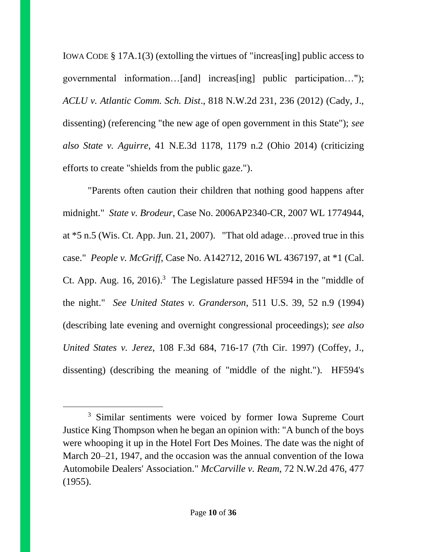IOWA CODE § 17A.1(3) (extolling the virtues of "increas[ing] public access to governmental information…[and] increas[ing] public participation…"); *ACLU v. Atlantic Comm. Sch. Dist*., 818 N.W.2d 231, 236 (2012) (Cady, J., dissenting) (referencing "the new age of open government in this State"); *see also State v. Aguirre*, 41 N.E.3d 1178, 1179 n.2 (Ohio 2014) (criticizing efforts to create "shields from the public gaze.").

"Parents often caution their children that nothing good happens after midnight." *State v. Brodeur*, Case No. 2006AP2340-CR, 2007 WL 1774944, at \*5 n.5 (Wis. Ct. App. Jun. 21, 2007). "That old adage…proved true in this case." *People v. McGriff*, Case No. A142712, 2016 WL 4367197, at \*1 (Cal. Ct. App. Aug.  $16$ ,  $2016$ .<sup>3</sup> The Legislature passed HF594 in the "middle of the night." *See United States v. Granderson*, 511 U.S. 39, 52 n.9 (1994) (describing late evening and overnight congressional proceedings); *see also United States v. Jerez*, 108 F.3d 684, 716-17 (7th Cir. 1997) (Coffey, J., dissenting) (describing the meaning of "middle of the night."). HF594's

<sup>&</sup>lt;sup>3</sup> Similar sentiments were voiced by former Iowa Supreme Court Justice King Thompson when he began an opinion with: "A bunch of the boys were whooping it up in the Hotel Fort Des Moines. The date was the night of March 20–21, 1947, and the occasion was the annual convention of the Iowa Automobile Dealers' Association." *McCarville v. Ream*, 72 N.W.2d 476, 477 (1955).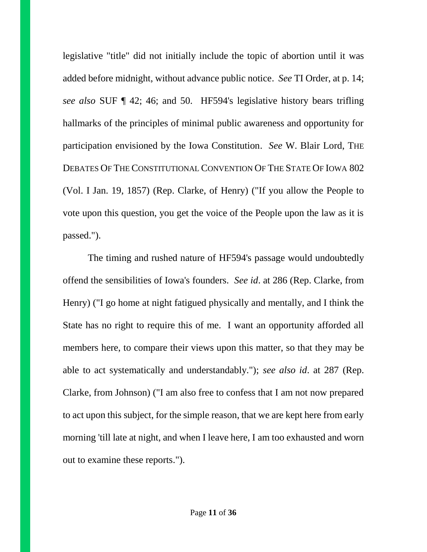legislative "title" did not initially include the topic of abortion until it was added before midnight, without advance public notice. *See* TI Order, at p. 14; *see also* SUF ¶ 42; 46; and 50. HF594's legislative history bears trifling hallmarks of the principles of minimal public awareness and opportunity for participation envisioned by the Iowa Constitution. *See* W. Blair Lord, THE DEBATES OF THE CONSTITUTIONAL CONVENTION OF THE STATE OF IOWA 802 (Vol. I Jan. 19, 1857) (Rep. Clarke, of Henry) ("If you allow the People to vote upon this question, you get the voice of the People upon the law as it is passed.").

The timing and rushed nature of HF594's passage would undoubtedly offend the sensibilities of Iowa's founders. *See id*. at 286 (Rep. Clarke, from Henry) ("I go home at night fatigued physically and mentally, and I think the State has no right to require this of me. I want an opportunity afforded all members here, to compare their views upon this matter, so that they may be able to act systematically and understandably."); *see also id*. at 287 (Rep. Clarke, from Johnson) ("I am also free to confess that I am not now prepared to act upon this subject, for the simple reason, that we are kept here from early morning 'till late at night, and when I leave here, I am too exhausted and worn out to examine these reports.").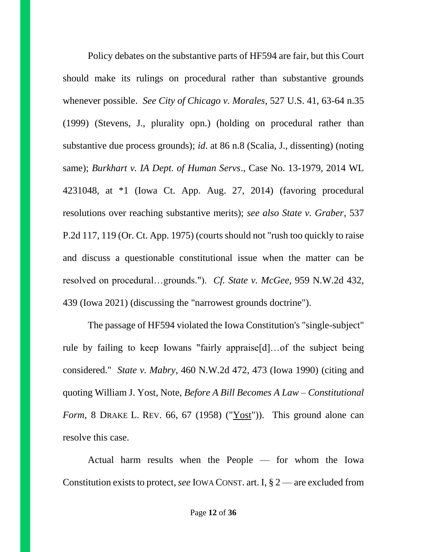Policy debates on the substantive parts of HF594 are fair, but this Court should make its rulings on procedural rather than substantive grounds whenever possible. *See City of Chicago v. Morales*, 527 U.S. 41, 63-64 n.35 (1999) (Stevens, J., plurality opn.) (holding on procedural rather than substantive due process grounds); *id*. at 86 n.8 (Scalia, J., dissenting) (noting same); *Burkhart v. IA Dept. of Human Servs*., Case No. 13-1979, 2014 WL 4231048, at \*1 (Iowa Ct. App. Aug. 27, 2014) (favoring procedural resolutions over reaching substantive merits); *see also State v. Graber*, 537 P.2d 117, 119 (Or. Ct. App. 1975) (courts should not "rush too quickly to raise and discuss a questionable constitutional issue when the matter can be resolved on procedural…grounds."). *Cf. State v. McGee*, 959 N.W.2d 432, 439 (Iowa 2021) (discussing the "narrowest grounds doctrine").

The passage of HF594 violated the Iowa Constitution's "single-subject" rule by failing to keep Iowans "fairly appraise[d]…of the subject being considered." *State v. Mabry*, 460 N.W.2d 472, 473 (Iowa 1990) (citing and quoting William J. Yost, Note, *Before A Bill Becomes A Law – Constitutional Form*, 8 DRAKE L. REV. 66, 67 (1958) ("Yost")). This ground alone can resolve this case.

Actual harm results when the People — for whom the Iowa Constitution exists to protect, *see* IOWA CONST. art. I, § 2 — are excluded from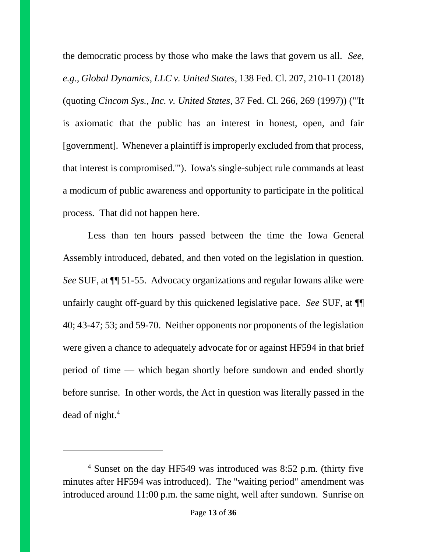the democratic process by those who make the laws that govern us all. *See*, *e.g*., *Global Dynamics, LLC v. United States*, 138 Fed. Cl. 207, 210-11 (2018) (quoting *Cincom Sys., Inc. v. United States*, 37 Fed. Cl. 266, 269 (1997)) ("'It is axiomatic that the public has an interest in honest, open, and fair [government]. Whenever a plaintiff is improperly excluded from that process, that interest is compromised.'"). Iowa's single-subject rule commands at least a modicum of public awareness and opportunity to participate in the political process. That did not happen here.

Less than ten hours passed between the time the Iowa General Assembly introduced, debated, and then voted on the legislation in question. *See* SUF, at ¶¶ 51-55. Advocacy organizations and regular Iowans alike were unfairly caught off-guard by this quickened legislative pace. *See* SUF, at ¶¶ 40; 43-47; 53; and 59-70. Neither opponents nor proponents of the legislation were given a chance to adequately advocate for or against HF594 in that brief period of time — which began shortly before sundown and ended shortly before sunrise. In other words, the Act in question was literally passed in the dead of night.<sup>4</sup>

<sup>4</sup> Sunset on the day HF549 was introduced was 8:52 p.m. (thirty five minutes after HF594 was introduced). The "waiting period" amendment was introduced around 11:00 p.m. the same night, well after sundown. Sunrise on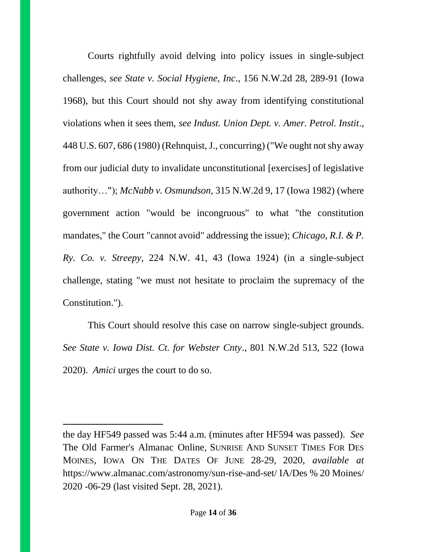Courts rightfully avoid delving into policy issues in single-subject challenges, *see State v. Social Hygiene, Inc*., 156 N.W.2d 28, 289-91 (Iowa 1968), but this Court should not shy away from identifying constitutional violations when it sees them, *see Indust. Union Dept. v. Amer. Petrol. Instit*., 448 U.S. 607, 686 (1980) (Rehnquist, J., concurring) ("We ought not shy away from our judicial duty to invalidate unconstitutional [exercises] of legislative authority…"); *McNabb v. Osmundson*, 315 N.W.2d 9, 17 (Iowa 1982) (where government action "would be incongruous" to what "the constitution mandates," the Court "cannot avoid" addressing the issue); *Chicago, R.I. & P. Ry. Co. v. Streepy*, 224 N.W. 41, 43 (Iowa 1924) (in a single-subject challenge, stating "we must not hesitate to proclaim the supremacy of the Constitution.").

This Court should resolve this case on narrow single-subject grounds. *See State v. Iowa Dist. Ct. for Webster Cnty*., 801 N.W.2d 513, 522 (Iowa 2020). *Amici* urges the court to do so.

the day HF549 passed was 5:44 a.m. (minutes after HF594 was passed). *See*  The Old Farmer's Almanac Online, SUNRISE AND SUNSET TIMES FOR DES MOINES, IOWA ON THE DATES OF JUNE 28-29, 2020, *available at*  https://www.almanac.com/astronomy/sun-rise-and-set/ IA/Des % 20 Moines/ 2020 -06-29 (last visited Sept. 28, 2021).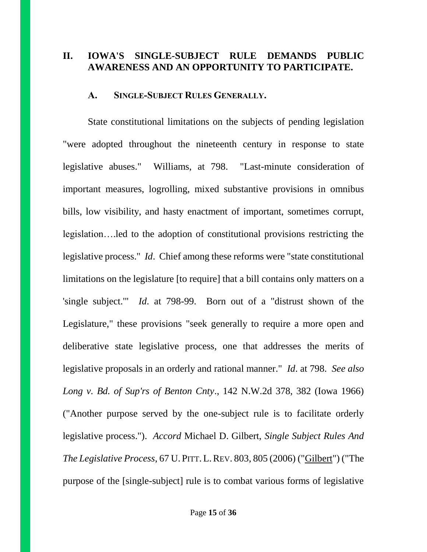### **II. IOWA'S SINGLE-SUBJECT RULE DEMANDS PUBLIC AWARENESS AND AN OPPORTUNITY TO PARTICIPATE.**

#### **A. SINGLE-SUBJECT RULES GENERALLY.**

State constitutional limitations on the subjects of pending legislation "were adopted throughout the nineteenth century in response to state legislative abuses." Williams, at 798. "Last-minute consideration of important measures, logrolling, mixed substantive provisions in omnibus bills, low visibility, and hasty enactment of important, sometimes corrupt, legislation….led to the adoption of constitutional provisions restricting the legislative process." *Id*. Chief among these reforms were "state constitutional limitations on the legislature [to require] that a bill contains only matters on a 'single subject.'" *Id*. at 798-99. Born out of a "distrust shown of the Legislature," these provisions "seek generally to require a more open and deliberative state legislative process, one that addresses the merits of legislative proposals in an orderly and rational manner." *Id*. at 798. *See also Long v. Bd. of Sup'rs of Benton Cnty*., 142 N.W.2d 378, 382 (Iowa 1966) ("Another purpose served by the one-subject rule is to facilitate orderly legislative process."). *Accord* Michael D. Gilbert, *Single Subject Rules And The Legislative Process*, 67 U. PITT.L.REV. 803, 805 (2006) ("Gilbert") ("The purpose of the [single-subject] rule is to combat various forms of legislative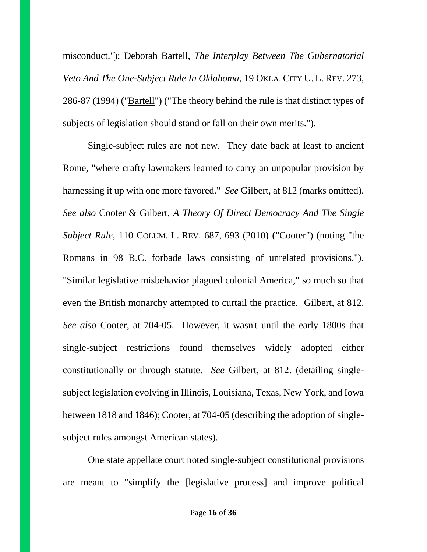misconduct."); Deborah Bartell, *The Interplay Between The Gubernatorial Veto And The One-Subject Rule In Oklahoma*, 19 OKLA. CITY U. L. REV. 273, 286-87 (1994) ("Bartell") ("The theory behind the rule is that distinct types of subjects of legislation should stand or fall on their own merits.").

Single-subject rules are not new. They date back at least to ancient Rome, "where crafty lawmakers learned to carry an unpopular provision by harnessing it up with one more favored." *See* Gilbert, at 812 (marks omitted). *See also* Cooter & Gilbert, *A Theory Of Direct Democracy And The Single Subject Rule*, 110 COLUM. L. REV. 687, 693 (2010) ("Cooter") (noting "the Romans in 98 B.C. forbade laws consisting of unrelated provisions."). "Similar legislative misbehavior plagued colonial America," so much so that even the British monarchy attempted to curtail the practice. Gilbert, at 812. *See also* Cooter, at 704-05. However, it wasn't until the early 1800s that single-subject restrictions found themselves widely adopted either constitutionally or through statute. *See* Gilbert, at 812. (detailing singlesubject legislation evolving in Illinois, Louisiana, Texas, New York, and Iowa between 1818 and 1846); Cooter, at 704-05 (describing the adoption of singlesubject rules amongst American states).

One state appellate court noted single-subject constitutional provisions are meant to "simplify the [legislative process] and improve political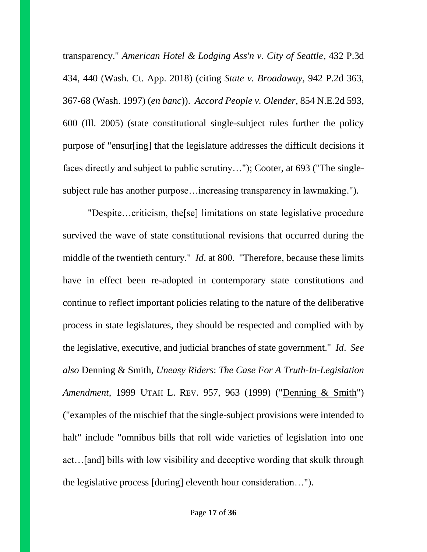transparency." *American Hotel & Lodging Ass'n v. City of Seattle*, 432 P.3d 434, 440 (Wash. Ct. App. 2018) (citing *State v. Broadaway*, 942 P.2d 363, 367-68 (Wash. 1997) (*en banc*)). *Accord People v. Olender*, 854 N.E.2d 593, 600 (Ill. 2005) (state constitutional single-subject rules further the policy purpose of "ensur[ing] that the legislature addresses the difficult decisions it faces directly and subject to public scrutiny…"); Cooter, at 693 ("The singlesubject rule has another purpose…increasing transparency in lawmaking.").

"Despite…criticism, the[se] limitations on state legislative procedure survived the wave of state constitutional revisions that occurred during the middle of the twentieth century." *Id*. at 800. "Therefore, because these limits have in effect been re-adopted in contemporary state constitutions and continue to reflect important policies relating to the nature of the deliberative process in state legislatures, they should be respected and complied with by the legislative, executive, and judicial branches of state government." *Id*. *See also* Denning & Smith, *Uneasy Riders*: *The Case For A Truth-In-Legislation Amendment*, 1999 UTAH L. REV. 957, 963 (1999) ("Denning & Smith") ("examples of the mischief that the single-subject provisions were intended to halt" include "omnibus bills that roll wide varieties of legislation into one act…[and] bills with low visibility and deceptive wording that skulk through the legislative process [during] eleventh hour consideration…").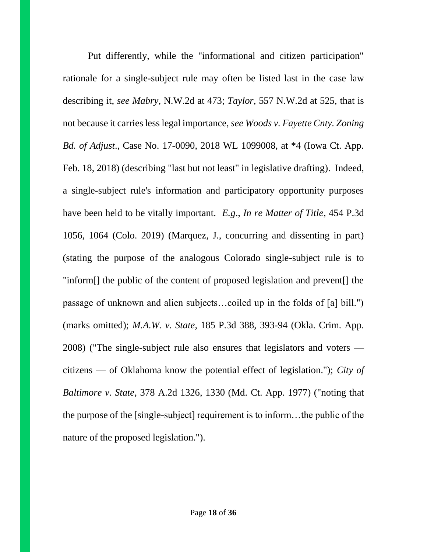Put differently, while the "informational and citizen participation" rationale for a single-subject rule may often be listed last in the case law describing it, *see Mabry*, N.W.2d at 473; *Taylor*, 557 N.W.2d at 525, that is not because it carries less legal importance, *see Woods v. Fayette Cnty. Zoning Bd. of Adjust*., Case No. 17-0090, 2018 WL 1099008, at \*4 (Iowa Ct. App. Feb. 18, 2018) (describing "last but not least" in legislative drafting). Indeed, a single-subject rule's information and participatory opportunity purposes have been held to be vitally important. *E.g*., *In re Matter of Title*, 454 P.3d 1056, 1064 (Colo. 2019) (Marquez, J., concurring and dissenting in part) (stating the purpose of the analogous Colorado single-subject rule is to "inform[] the public of the content of proposed legislation and prevent[] the passage of unknown and alien subjects…coiled up in the folds of [a] bill.") (marks omitted); *M.A.W. v. State*, 185 P.3d 388, 393-94 (Okla. Crim. App. 2008) ("The single-subject rule also ensures that legislators and voters citizens — of Oklahoma know the potential effect of legislation."); *City of Baltimore v. State*, 378 A.2d 1326, 1330 (Md. Ct. App. 1977) ("noting that the purpose of the [single-subject] requirement is to inform…the public of the nature of the proposed legislation.").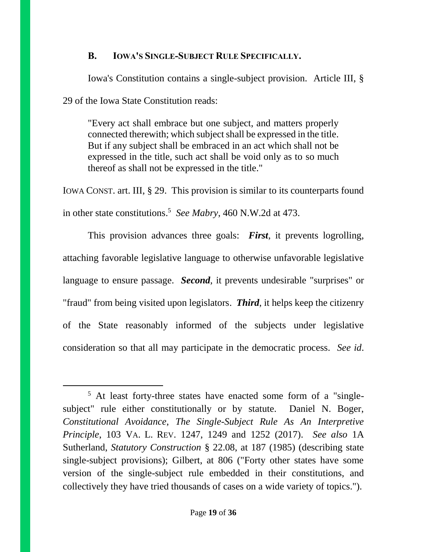### **B. IOWA'S SINGLE-SUBJECT RULE SPECIFICALLY.**

Iowa's Constitution contains a single-subject provision. Article III, § 29 of the Iowa State Constitution reads:

"Every act shall embrace but one subject, and matters properly connected therewith; which subject shall be expressed in the title. But if any subject shall be embraced in an act which shall not be expressed in the title, such act shall be void only as to so much thereof as shall not be expressed in the title."

IOWA CONST. art. III, § 29. This provision is similar to its counterparts found in other state constitutions. <sup>5</sup> *See Mabry*, 460 N.W.2d at 473.

This provision advances three goals: *First*, it prevents logrolling, attaching favorable legislative language to otherwise unfavorable legislative language to ensure passage. *Second*, it prevents undesirable "surprises" or "fraud" from being visited upon legislators. *Third*, it helps keep the citizenry of the State reasonably informed of the subjects under legislative consideration so that all may participate in the democratic process. *See id*.

<sup>5</sup> At least forty-three states have enacted some form of a "singlesubject" rule either constitutionally or by statute. Daniel N. Boger, *Constitutional Avoidance*, *The Single-Subject Rule As An Interpretive Principle*, 103 VA. L. REV. 1247, 1249 and 1252 (2017). *See also* 1A Sutherland, *Statutory Construction* § 22.08, at 187 (1985) (describing state single-subject provisions); Gilbert, at 806 ("Forty other states have some version of the single-subject rule embedded in their constitutions, and collectively they have tried thousands of cases on a wide variety of topics.").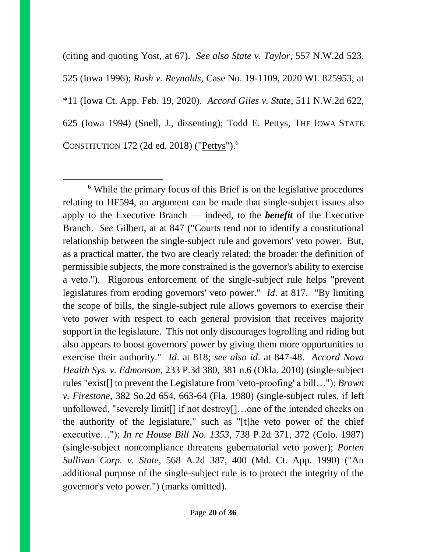(citing and quoting Yost, at 67). *See also State v. Taylor*, 557 N.W.2d 523, 525 (Iowa 1996); *Rush v. Reynolds*, Case No. 19-1109, 2020 WL 825953, at \*11 (Iowa Ct. App. Feb. 19, 2020). *Accord Giles v. State*, 511 N.W.2d 622, 625 (Iowa 1994) (Snell, J., dissenting); Todd E. Pettys, THE IOWA STATE CONSTITUTION 172 (2d ed. 2018) ("Pettys").<sup>6</sup>

<sup>6</sup> While the primary focus of this Brief is on the legislative procedures relating to HF594, an argument can be made that single-subject issues also apply to the Executive Branch — indeed, to the *benefit* of the Executive Branch. *See* Gilbert, at at 847 ("Courts tend not to identify a constitutional relationship between the single-subject rule and governors' veto power. But, as a practical matter, the two are clearly related: the broader the definition of permissible subjects, the more constrained is the governor's ability to exercise a veto."). Rigorous enforcement of the single-subject rule helps "prevent legislatures from eroding governors' veto power." *Id*. at 817. "By limiting the scope of bills, the single-subject rule allows governors to exercise their veto power with respect to each general provision that receives majority support in the legislature. This not only discourages logrolling and riding but also appears to boost governors' power by giving them more opportunities to exercise their authority." *Id*. at 818; *see also id*. at 847-48. *Accord Nova Health Sys. v. Edmonson*, 233 P.3d 380, 381 n.6 (Okla. 2010) (single-subject rules "exist[] to prevent the Legislature from 'veto-proofing' a bill…"); *Brown v. Firestone*, 382 So.2d 654, 663-64 (Fla. 1980) (single-subject rules, if left unfollowed, "severely limit[] if not destroy[]…one of the intended checks on the authority of the legislature," such as "[t]he veto power of the chief executive…"); *In re House Bill No. 1353*, 738 P.2d 371, 372 (Colo. 1987) (single-subject noncompliance threatens gubernatorial veto power); *Porten Sullivan Corp. v. State*, 568 A.2d 387, 400 (Md. Ct. App. 1990) ("An additional purpose of the single-subject rule is to protect the integrity of the governor's veto power.") (marks omitted).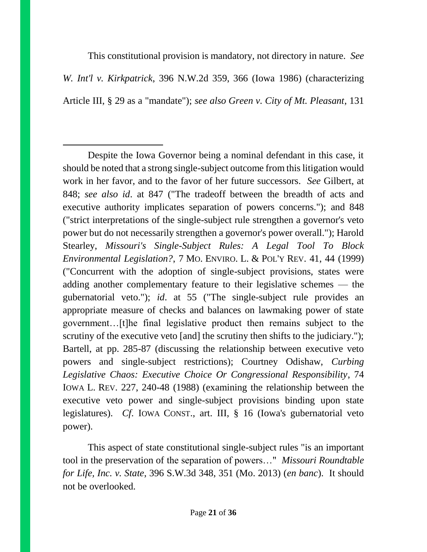This constitutional provision is mandatory, not directory in nature. *See W. Int'l v. Kirkpatrick*, 396 N.W.2d 359, 366 (Iowa 1986) (characterizing

Article III, § 29 as a "mandate"); *see also Green v. City of Mt. Pleasant*, 131

 $\overline{a}$ 

This aspect of state constitutional single-subject rules "is an important tool in the preservation of the separation of powers…" *Missouri Roundtable for Life, Inc. v. State*, 396 S.W.3d 348, 351 (Mo. 2013) (*en banc*). It should not be overlooked.

Despite the Iowa Governor being a nominal defendant in this case, it should be noted that a strong single-subject outcome from this litigation would work in her favor, and to the favor of her future successors. *See* Gilbert, at 848; *see also id*. at 847 ("The tradeoff between the breadth of acts and executive authority implicates separation of powers concerns."); and 848 ("strict interpretations of the single-subject rule strengthen a governor's veto power but do not necessarily strengthen a governor's power overall."); Harold Stearley, *Missouri's Single-Subject Rules: A Legal Tool To Block Environmental Legislation?*, 7 MO. ENVIRO. L. & POL'Y REV. 41, 44 (1999) ("Concurrent with the adoption of single-subject provisions, states were adding another complementary feature to their legislative schemes — the gubernatorial veto."); *id*. at 55 ("The single-subject rule provides an appropriate measure of checks and balances on lawmaking power of state government…[t]he final legislative product then remains subject to the scrutiny of the executive veto [and] the scrutiny then shifts to the judiciary."); Bartell, at pp. 285-87 (discussing the relationship between executive veto powers and single-subject restrictions); Courtney Odishaw, *Curbing Legislative Chaos: Executive Choice Or Congressional Responsibility*, 74 IOWA L. REV. 227, 240-48 (1988) (examining the relationship between the executive veto power and single-subject provisions binding upon state legislatures). *Cf*. IOWA CONST., art. III, § 16 (Iowa's gubernatorial veto power).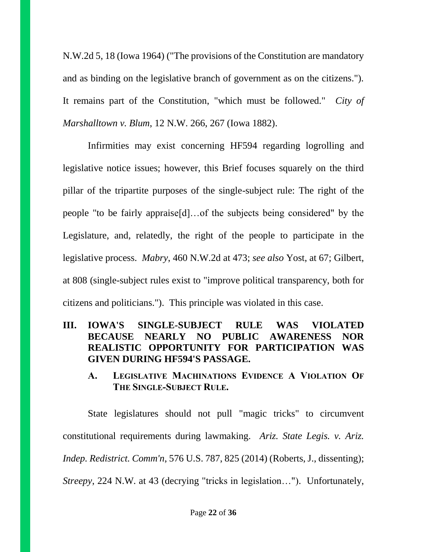N.W.2d 5, 18 (Iowa 1964) ("The provisions of the Constitution are mandatory and as binding on the legislative branch of government as on the citizens."). It remains part of the Constitution, "which must be followed." *City of Marshalltown v. Blum*, 12 N.W. 266, 267 (Iowa 1882).

Infirmities may exist concerning HF594 regarding logrolling and legislative notice issues; however, this Brief focuses squarely on the third pillar of the tripartite purposes of the single-subject rule: The right of the people "to be fairly appraise[d]…of the subjects being considered" by the Legislature, and, relatedly, the right of the people to participate in the legislative process. *Mabry*, 460 N.W.2d at 473; *see also* Yost, at 67; Gilbert, at 808 (single-subject rules exist to "improve political transparency, both for citizens and politicians."). This principle was violated in this case.

### **III. IOWA'S SINGLE-SUBJECT RULE WAS VIOLATED BECAUSE NEARLY NO PUBLIC AWARENESS NOR REALISTIC OPPORTUNITY FOR PARTICIPATION WAS GIVEN DURING HF594'S PASSAGE.**

**A. LEGISLATIVE MACHINATIONS EVIDENCE A VIOLATION OF THE SINGLE-SUBJECT RULE.**

State legislatures should not pull "magic tricks" to circumvent constitutional requirements during lawmaking. *Ariz. State Legis. v. Ariz. Indep. Redistrict. Comm'n*, 576 U.S. 787, 825 (2014) (Roberts, J., dissenting); *Streepy*, 224 N.W. at 43 (decrying "tricks in legislation…"). Unfortunately,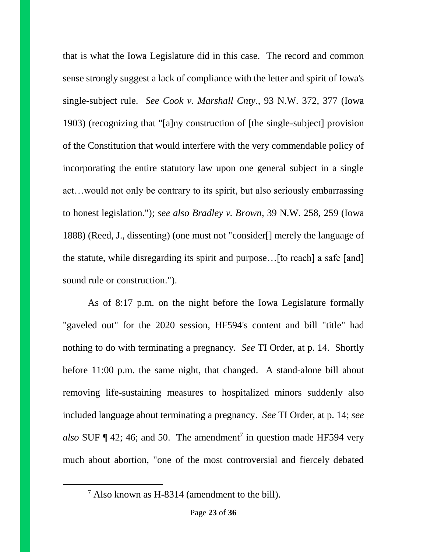that is what the Iowa Legislature did in this case. The record and common sense strongly suggest a lack of compliance with the letter and spirit of Iowa's single-subject rule. *See Cook v. Marshall Cnty*., 93 N.W. 372, 377 (Iowa 1903) (recognizing that "[a]ny construction of [the single-subject] provision of the Constitution that would interfere with the very commendable policy of incorporating the entire statutory law upon one general subject in a single act…would not only be contrary to its spirit, but also seriously embarrassing to honest legislation."); *see also Bradley v. Brown*, 39 N.W. 258, 259 (Iowa 1888) (Reed, J., dissenting) (one must not "consider[] merely the language of the statute, while disregarding its spirit and purpose…[to reach] a safe [and] sound rule or construction.").

As of 8:17 p.m. on the night before the Iowa Legislature formally "gaveled out" for the 2020 session, HF594's content and bill "title" had nothing to do with terminating a pregnancy. *See* TI Order, at p. 14. Shortly before 11:00 p.m. the same night, that changed. A stand-alone bill about removing life-sustaining measures to hospitalized minors suddenly also included language about terminating a pregnancy. *See* TI Order, at p. 14; *see*  also SUF  $\P$  42; 46; and 50. The amendment<sup>7</sup> in question made HF594 very much about abortion, "one of the most controversial and fiercely debated

l

<sup>7</sup> Also known as H-8314 (amendment to the bill).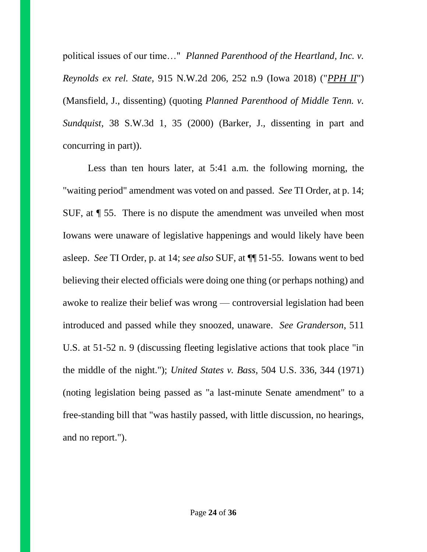political issues of our time…" *Planned Parenthood of the Heartland, Inc. v. Reynolds ex rel. State*, 915 N.W.2d 206, 252 n.9 (Iowa 2018) ("*PPH II*") (Mansfield, J., dissenting) (quoting *Planned Parenthood of Middle Tenn. v. Sundquist*, 38 S.W.3d 1, 35 (2000) (Barker, J., dissenting in part and concurring in part)).

Less than ten hours later, at 5:41 a.m. the following morning, the "waiting period" amendment was voted on and passed. *See* TI Order, at p. 14; SUF, at ¶ 55. There is no dispute the amendment was unveiled when most Iowans were unaware of legislative happenings and would likely have been asleep. *See* TI Order, p. at 14; *see also* SUF, at ¶¶ 51-55. Iowans went to bed believing their elected officials were doing one thing (or perhaps nothing) and awoke to realize their belief was wrong — controversial legislation had been introduced and passed while they snoozed, unaware. *See Granderson*, 511 U.S. at 51-52 n. 9 (discussing fleeting legislative actions that took place "in the middle of the night."); *United States v. Bass*, 504 U.S. 336, 344 (1971) (noting legislation being passed as "a last-minute Senate amendment" to a free-standing bill that "was hastily passed, with little discussion, no hearings, and no report.").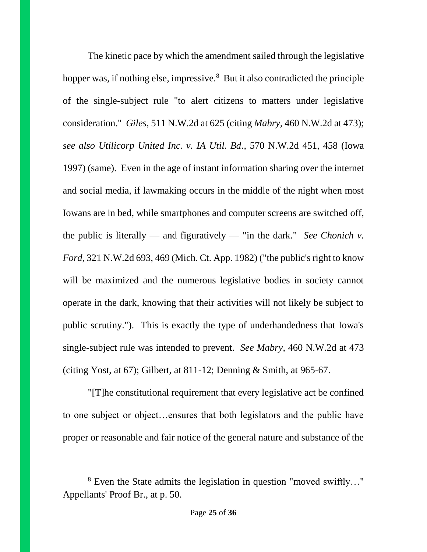The kinetic pace by which the amendment sailed through the legislative hopper was, if nothing else, impressive.<sup>8</sup> But it also contradicted the principle of the single-subject rule "to alert citizens to matters under legislative consideration." *Giles*, 511 N.W.2d at 625 (citing *Mabry*, 460 N.W.2d at 473); *see also Utilicorp United Inc. v. IA Util. Bd*., 570 N.W.2d 451, 458 (Iowa 1997) (same). Even in the age of instant information sharing over the internet and social media, if lawmaking occurs in the middle of the night when most Iowans are in bed, while smartphones and computer screens are switched off, the public is literally — and figuratively — "in the dark." *See Chonich v. Ford*, 321 N.W.2d 693, 469 (Mich. Ct. App. 1982) ("the public's right to know will be maximized and the numerous legislative bodies in society cannot operate in the dark, knowing that their activities will not likely be subject to public scrutiny."). This is exactly the type of underhandedness that Iowa's single-subject rule was intended to prevent. *See Mabry*, 460 N.W.2d at 473 (citing Yost, at 67); Gilbert, at 811-12; Denning & Smith, at 965-67.

"[T]he constitutional requirement that every legislative act be confined to one subject or object…ensures that both legislators and the public have proper or reasonable and fair notice of the general nature and substance of the

<sup>8</sup> Even the State admits the legislation in question "moved swiftly…" Appellants' Proof Br., at p. 50.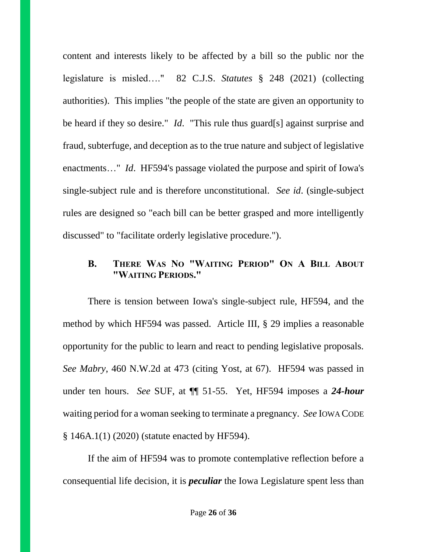content and interests likely to be affected by a bill so the public nor the legislature is misled…." 82 C.J.S. *Statutes* § 248 (2021) (collecting authorities). This implies "the people of the state are given an opportunity to be heard if they so desire." *Id*. "This rule thus guard[s] against surprise and fraud, subterfuge, and deception as to the true nature and subject of legislative enactments…" *Id*. HF594's passage violated the purpose and spirit of Iowa's single-subject rule and is therefore unconstitutional. *See id*. (single-subject rules are designed so "each bill can be better grasped and more intelligently discussed" to "facilitate orderly legislative procedure.").

## **B. THERE WAS NO "WAITING PERIOD" ON A BILL ABOUT "WAITING PERIODS."**

There is tension between Iowa's single-subject rule, HF594, and the method by which HF594 was passed. Article III, § 29 implies a reasonable opportunity for the public to learn and react to pending legislative proposals. *See Mabry*, 460 N.W.2d at 473 (citing Yost, at 67). HF594 was passed in under ten hours. *See* SUF, at ¶¶ 51-55. Yet, HF594 imposes a *24-hour* waiting period for a woman seeking to terminate a pregnancy. *See* IOWA CODE § 146A.1(1) (2020) (statute enacted by HF594).

If the aim of HF594 was to promote contemplative reflection before a consequential life decision, it is *peculiar* the Iowa Legislature spent less than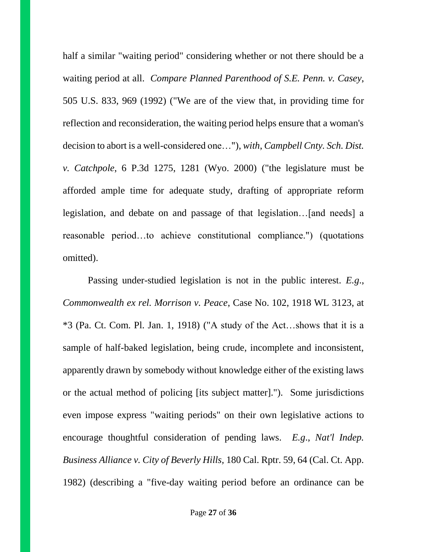half a similar "waiting period" considering whether or not there should be a waiting period at all. *Compare Planned Parenthood of S.E. Penn. v. Casey*, 505 U.S. 833, 969 (1992) ("We are of the view that, in providing time for reflection and reconsideration, the waiting period helps ensure that a woman's decision to abort is a well-considered one…"), *with*, *Campbell Cnty. Sch. Dist. v. Catchpole*, 6 P.3d 1275, 1281 (Wyo. 2000) ("the legislature must be afforded ample time for adequate study, drafting of appropriate reform legislation, and debate on and passage of that legislation…[and needs] a reasonable period…to achieve constitutional compliance.") (quotations omitted).

Passing under-studied legislation is not in the public interest. *E.g*., *Commonwealth ex rel. Morrison v. Peace*, Case No. 102, 1918 WL 3123, at \*3 (Pa. Ct. Com. Pl. Jan. 1, 1918) ("A study of the Act…shows that it is a sample of half-baked legislation, being crude, incomplete and inconsistent, apparently drawn by somebody without knowledge either of the existing laws or the actual method of policing [its subject matter]."). Some jurisdictions even impose express "waiting periods" on their own legislative actions to encourage thoughtful consideration of pending laws. *E.g*., *Nat'l Indep. Business Alliance v. City of Beverly Hills,* 180 Cal. Rptr. 59, 64 (Cal. Ct. App. 1982) (describing a "five-day waiting period before an ordinance can be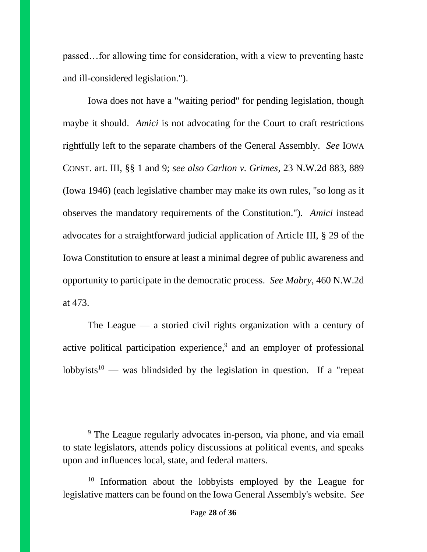passed…for allowing time for consideration, with a view to preventing haste and ill-considered legislation.").

Iowa does not have a "waiting period" for pending legislation, though maybe it should. *Amici* is not advocating for the Court to craft restrictions rightfully left to the separate chambers of the General Assembly. *See* IOWA CONST. art. III, §§ 1 and 9; *see also Carlton v. Grimes*, 23 N.W.2d 883, 889 (Iowa 1946) (each legislative chamber may make its own rules, "so long as it observes the mandatory requirements of the Constitution."). *Amici* instead advocates for a straightforward judicial application of Article III, § 29 of the Iowa Constitution to ensure at least a minimal degree of public awareness and opportunity to participate in the democratic process. *See Mabry*, 460 N.W.2d at 473.

The League — a storied civil rights organization with a century of active political participation experience, 9 and an employer of professional lobbyists<sup>10</sup> — was blindsided by the legislation in question. If a "repeat"

<sup>&</sup>lt;sup>9</sup> The League regularly advocates in-person, via phone, and via email to state legislators, attends policy discussions at political events, and speaks upon and influences local, state, and federal matters.

<sup>&</sup>lt;sup>10</sup> Information about the lobbyists employed by the League for legislative matters can be found on the Iowa General Assembly's website. *See*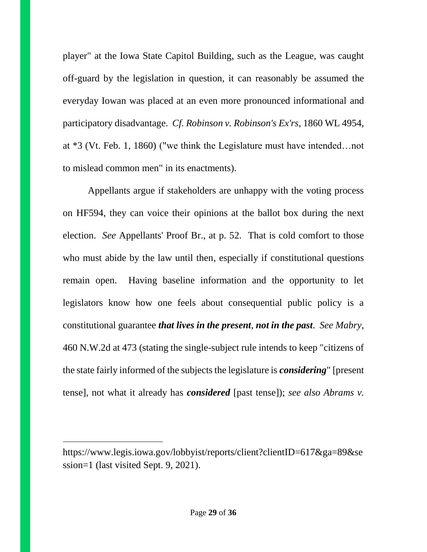player" at the Iowa State Capitol Building, such as the League, was caught off-guard by the legislation in question, it can reasonably be assumed the everyday Iowan was placed at an even more pronounced informational and participatory disadvantage. *Cf. Robinson v. Robinson's Ex'rs*, 1860 WL 4954, at \*3 (Vt. Feb. 1, 1860) ("we think the Legislature must have intended…not to mislead common men" in its enactments).

Appellants argue if stakeholders are unhappy with the voting process on HF594, they can voice their opinions at the ballot box during the next election. *See* Appellants' Proof Br., at p. 52. That is cold comfort to those who must abide by the law until then, especially if constitutional questions remain open. Having baseline information and the opportunity to let legislators know how one feels about consequential public policy is a constitutional guarantee *that lives in the present*, *not in the past*. *See Mabry*, 460 N.W.2d at 473 (stating the single-subject rule intends to keep "citizens of the state fairly informed of the subjects the legislature is *considering*" [present tense], not what it already has *considered* [past tense]); *see also Abrams v.* 

https://www.legis.iowa.gov/lobbyist/reports/client?clientID=617&ga=89&se ssion=1 (last visited Sept. 9, 2021).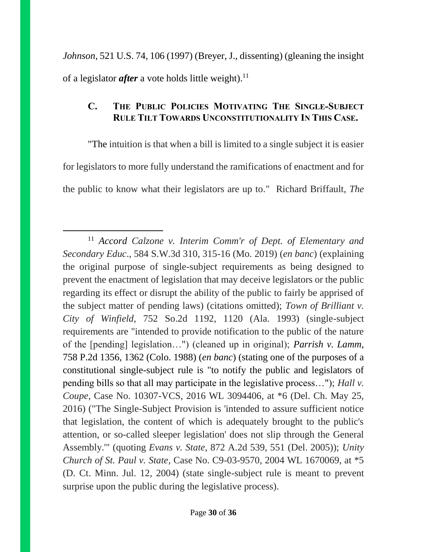*Johnson*, 521 U.S. 74, 106 (1997) (Breyer, J., dissenting) (gleaning the insight of a legislator *after* a vote holds little weight). 11

## **C. THE PUBLIC POLICIES MOTIVATING THE SINGLE-SUBJECT RULE TILT TOWARDS UNCONSTITUTIONALITY IN THIS CASE.**

"The intuition is that when a bill is limited to a single subject it is easier for legislators to more fully understand the ramifications of enactment and for the public to know what their legislators are up to." Richard Briffault, *The* 

<sup>11</sup> *Accord Calzone v. Interim Comm'r of Dept. of Elementary and Secondary Educ*., 584 S.W.3d 310, 315-16 (Mo. 2019) (*en banc*) (explaining the original purpose of single-subject requirements as being designed to prevent the enactment of legislation that may deceive legislators or the public regarding its effect or disrupt the ability of the public to fairly be apprised of the subject matter of pending laws) (citations omitted); *Town of Brilliant v. City of Winfield*, 752 So.2d 1192, 1120 (Ala. 1993) (single-subject requirements are "intended to provide notification to the public of the nature of the [pending] legislation…") (cleaned up in original); *Parrish v. Lamm*, 758 P.2d 1356, 1362 (Colo. 1988) (*en banc*) (stating one of the purposes of a constitutional single-subject rule is "to notify the public and legislators of pending bills so that all may participate in the legislative process…"); *Hall v. Coupe*, Case No. 10307-VCS, 2016 WL 3094406, at \*6 (Del. Ch. May 25, 2016) ("The Single-Subject Provision is 'intended to assure sufficient notice that legislation, the content of which is adequately brought to the public's attention, or so-called sleeper legislation' does not slip through the General Assembly.'" (quoting *Evans v. State*, 872 A.2d 539, 551 (Del. 2005)); *Unity Church of St. Paul v. State*, Case No. C9-03-9570, 2004 WL 1670069, at \*5 (D. Ct. Minn. Jul. 12, 2004) (state single-subject rule is meant to prevent surprise upon the public during the legislative process).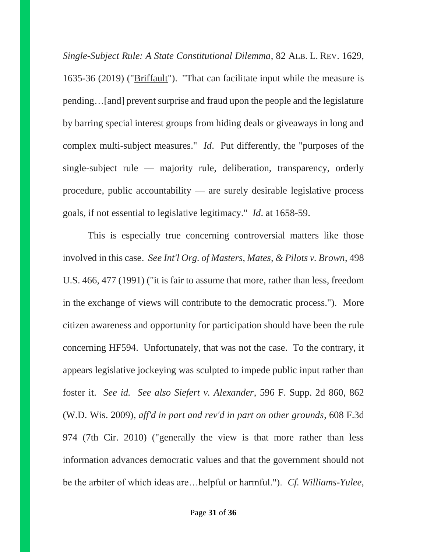*Single-Subject Rule: A State Constitutional Dilemma*, 82 ALB. L. REV. 1629, 1635-36 (2019) ("Briffault"). "That can facilitate input while the measure is pending…[and] prevent surprise and fraud upon the people and the legislature by barring special interest groups from hiding deals or giveaways in long and complex multi-subject measures." *Id*. Put differently, the "purposes of the single-subject rule — majority rule, deliberation, transparency, orderly procedure, public accountability — are surely desirable legislative process goals, if not essential to legislative legitimacy." *Id*. at 1658-59.

This is especially true concerning controversial matters like those involved in this case. *See Int'l Org. of Masters, Mates, & Pilots v. Brown*, 498 U.S. 466, 477 (1991) ("it is fair to assume that more, rather than less, freedom in the exchange of views will contribute to the democratic process."). More citizen awareness and opportunity for participation should have been the rule concerning HF594. Unfortunately, that was not the case. To the contrary, it appears legislative jockeying was sculpted to impede public input rather than foster it. *See id. See also Siefert v. Alexander*, 596 F. Supp. 2d 860, 862 (W.D. Wis. 2009), *aff'd in part and rev'd in part on other grounds*, 608 F.3d 974 (7th Cir. 2010) ("generally the view is that more rather than less information advances democratic values and that the government should not be the arbiter of which ideas are…helpful or harmful."). *Cf. Williams-Yulee*,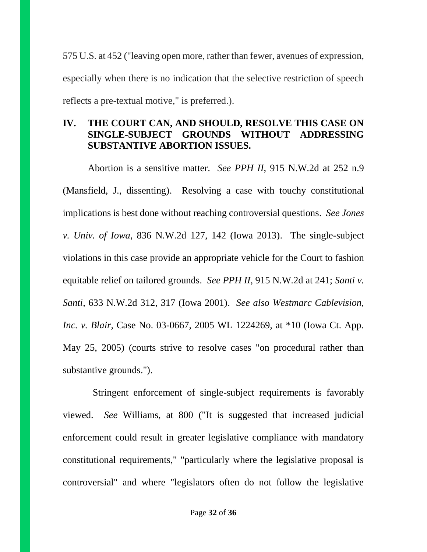575 U.S. at 452 ("leaving open more, rather than fewer, avenues of expression, especially when there is no indication that the selective restriction of speech reflects a pre-textual motive," is preferred.).

## **IV. THE COURT CAN, AND SHOULD, RESOLVE THIS CASE ON SINGLE-SUBJECT GROUNDS WITHOUT ADDRESSING SUBSTANTIVE ABORTION ISSUES.**

Abortion is a sensitive matter. *See PPH II*, 915 N.W.2d at 252 n.9 (Mansfield, J., dissenting). Resolving a case with touchy constitutional implications is best done without reaching controversial questions. *See Jones v. Univ. of Iowa*, 836 N.W.2d 127, 142 (Iowa 2013). The single-subject violations in this case provide an appropriate vehicle for the Court to fashion equitable relief on tailored grounds. *See PPH II*, 915 N.W.2d at 241; *Santi v. Santi*, 633 N.W.2d 312, 317 (Iowa 2001). *See also Westmarc Cablevision, Inc. v. Blair*, Case No. 03-0667, 2005 WL 1224269, at \*10 (Iowa Ct. App. May 25, 2005) (courts strive to resolve cases "on procedural rather than substantive grounds.").

 Stringent enforcement of single-subject requirements is favorably viewed. *See* Williams, at 800 ("It is suggested that increased judicial enforcement could result in greater legislative compliance with mandatory constitutional requirements," "particularly where the legislative proposal is controversial" and where "legislators often do not follow the legislative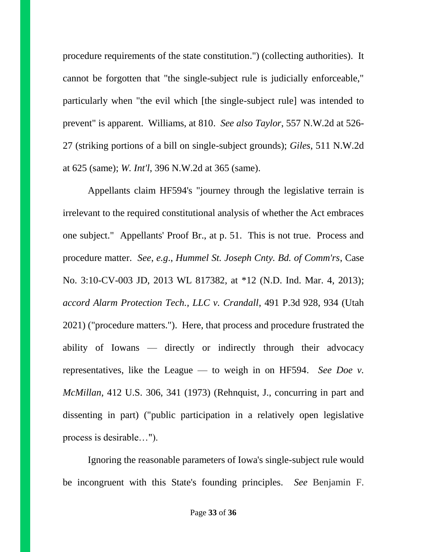procedure requirements of the state constitution.") (collecting authorities). It cannot be forgotten that "the single-subject rule is judicially enforceable," particularly when "the evil which [the single-subject rule] was intended to prevent" is apparent. Williams, at 810. *See also Taylor*, 557 N.W.2d at 526- 27 (striking portions of a bill on single-subject grounds); *Giles*, 511 N.W.2d at 625 (same); *W. Int'l*, 396 N.W.2d at 365 (same).

Appellants claim HF594's "journey through the legislative terrain is irrelevant to the required constitutional analysis of whether the Act embraces one subject." Appellants' Proof Br., at p. 51. This is not true. Process and procedure matter. *See*, *e.g*., *Hummel St. Joseph Cnty. Bd. of Comm'rs*, Case No. 3:10-CV-003 JD, 2013 WL 817382, at \*12 (N.D. Ind. Mar. 4, 2013); *accord Alarm Protection Tech., LLC v. Crandall*, 491 P.3d 928, 934 (Utah 2021) ("procedure matters."). Here, that process and procedure frustrated the ability of Iowans — directly or indirectly through their advocacy representatives, like the League — to weigh in on HF594. *See Doe v. McMillan*, 412 U.S. 306, 341 (1973) (Rehnquist, J., concurring in part and dissenting in part) ("public participation in a relatively open legislative process is desirable…").

Ignoring the reasonable parameters of Iowa's single-subject rule would be incongruent with this State's founding principles. *See* Benjamin F.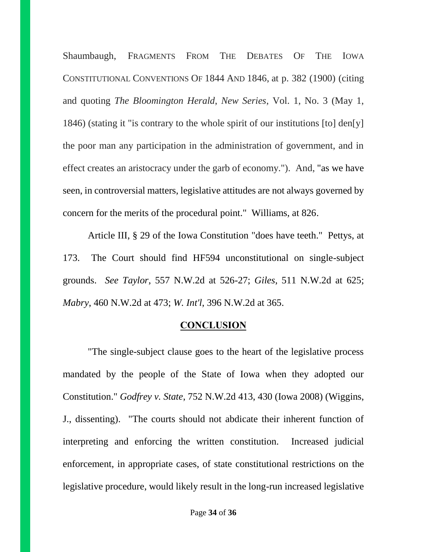Shaumbaugh, FRAGMENTS FROM THE DEBATES OF THE IOWA CONSTITUTIONAL CONVENTIONS OF 1844 AND 1846, at p. 382 (1900) (citing and quoting *The Bloomington Herald*, *New Series*, Vol. 1, No. 3 (May 1, 1846) (stating it "is contrary to the whole spirit of our institutions [to] den[y] the poor man any participation in the administration of government, and in effect creates an aristocracy under the garb of economy."). And, "as we have seen, in controversial matters, legislative attitudes are not always governed by concern for the merits of the procedural point." Williams, at 826.

Article III, § 29 of the Iowa Constitution "does have teeth." Pettys, at 173. The Court should find HF594 unconstitutional on single-subject grounds. *See Taylor*, 557 N.W.2d at 526-27; *Giles*, 511 N.W.2d at 625; *Mabry*, 460 N.W.2d at 473; *W. Int'l*, 396 N.W.2d at 365.

#### **CONCLUSION**

"The single-subject clause goes to the heart of the legislative process mandated by the people of the State of Iowa when they adopted our Constitution." *Godfrey v. State*, 752 N.W.2d 413, 430 (Iowa 2008) (Wiggins, J., dissenting). "The courts should not abdicate their inherent function of interpreting and enforcing the written constitution. Increased judicial enforcement, in appropriate cases, of state constitutional restrictions on the legislative procedure, would likely result in the long-run increased legislative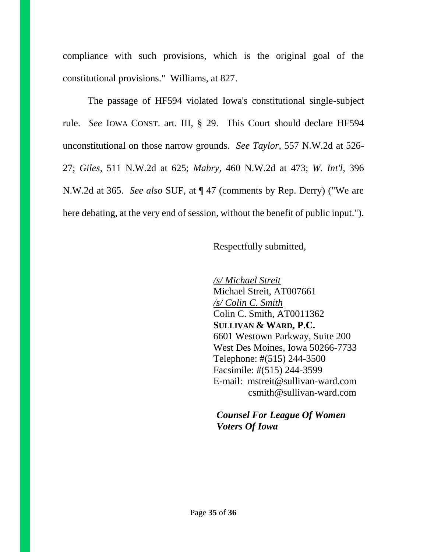compliance with such provisions, which is the original goal of the constitutional provisions." Williams, at 827.

The passage of HF594 violated Iowa's constitutional single-subject rule. *See* IOWA CONST. art. III, § 29. This Court should declare HF594 unconstitutional on those narrow grounds. *See Taylor*, 557 N.W.2d at 526- 27; *Giles*, 511 N.W.2d at 625; *Mabry*, 460 N.W.2d at 473; *W. Int'l*, 396 N.W.2d at 365. *See also* SUF, at ¶ 47 (comments by Rep. Derry) ("We are here debating, at the very end of session, without the benefit of public input.").

### Respectfully submitted,

*/s/ Michael Streit*  Michael Streit, AT007661 */s/ Colin C. Smith*  Colin C. Smith, AT0011362 **SULLIVAN & WARD, P.C.** 6601 Westown Parkway, Suite 200 West Des Moines, Iowa 50266-7733 Telephone: #(515) 244-3500 Facsimile: #(515) 244-3599 E-mail: mstreit@sullivan-ward.com csmith@sullivan-ward.com

# *Counsel For League Of Women Voters Of Iowa*